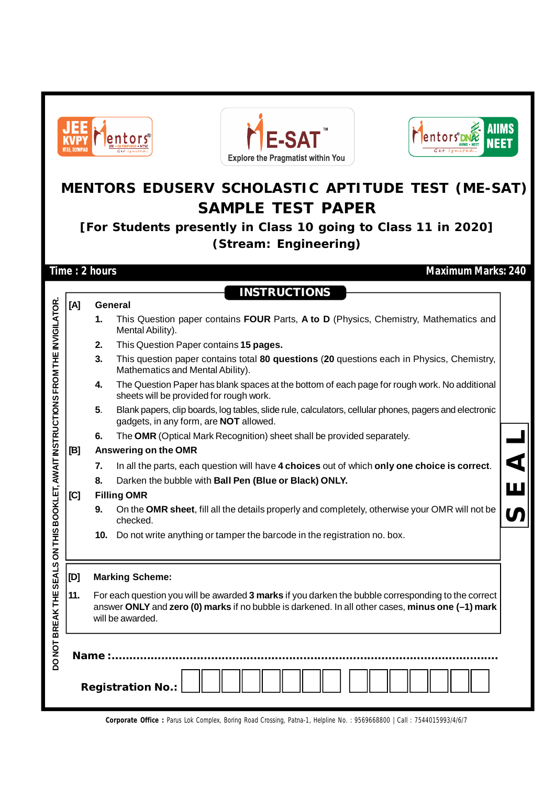

**Corporate Office :** Parus Lok Complex, Boring Road Crossing, Patna-1, Helpline No. : 9569668800 | Call : 7544015993/4/6/7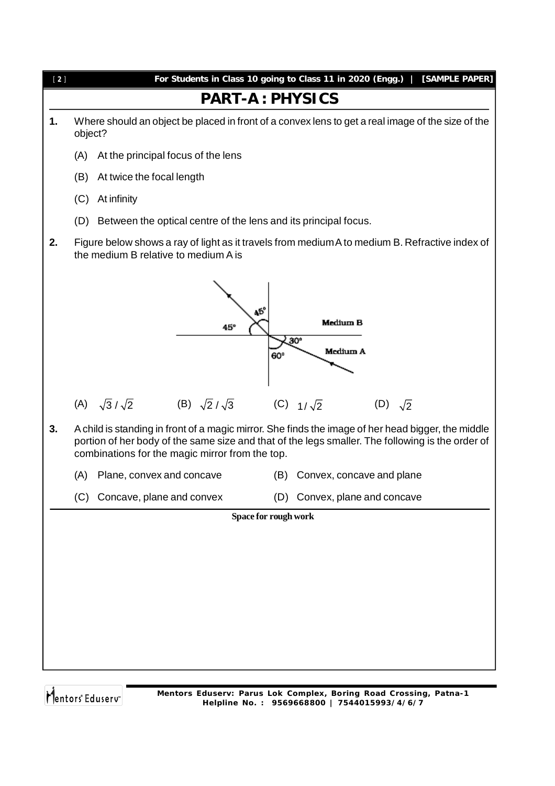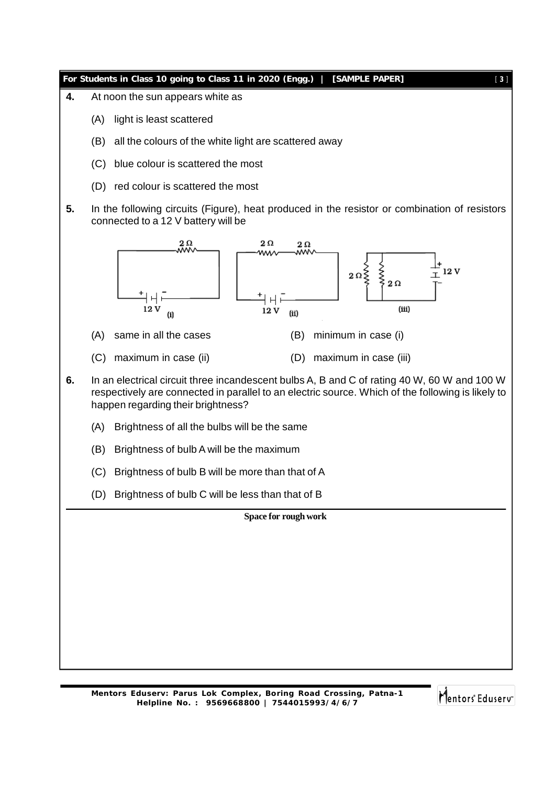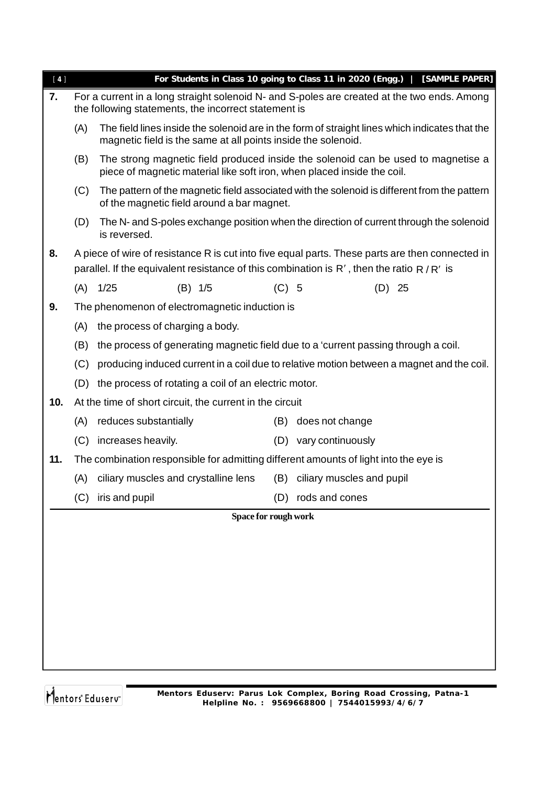| $[4]$ |     | For Students in Class 10 going to Class 11 in 2020 (Engg.)   [SAMPLE PAPER]                                                                                                                      |         |                               |          |  |  |  |
|-------|-----|--------------------------------------------------------------------------------------------------------------------------------------------------------------------------------------------------|---------|-------------------------------|----------|--|--|--|
| 7.    |     | For a current in a long straight solenoid N- and S-poles are created at the two ends. Among<br>the following statements, the incorrect statement is                                              |         |                               |          |  |  |  |
|       | (A) | The field lines inside the solenoid are in the form of straight lines which indicates that the<br>magnetic field is the same at all points inside the solenoid.                                  |         |                               |          |  |  |  |
|       | (B) | The strong magnetic field produced inside the solenoid can be used to magnetise a<br>piece of magnetic material like soft iron, when placed inside the coil.                                     |         |                               |          |  |  |  |
|       | (C) | The pattern of the magnetic field associated with the solenoid is different from the pattern<br>of the magnetic field around a bar magnet.                                                       |         |                               |          |  |  |  |
|       | (D) | The N- and S-poles exchange position when the direction of current through the solenoid<br>is reversed.                                                                                          |         |                               |          |  |  |  |
| 8.    |     | A piece of wire of resistance R is cut into five equal parts. These parts are then connected in<br>parallel. If the equivalent resistance of this combination is $R'$ , then the ratio $R/R'$ is |         |                               |          |  |  |  |
|       | (A) | 1/25<br>$(B)$ 1/5                                                                                                                                                                                | $(C)$ 5 |                               | $(D)$ 25 |  |  |  |
| 9.    |     | The phenomenon of electromagnetic induction is                                                                                                                                                   |         |                               |          |  |  |  |
|       | (A) | the process of charging a body.                                                                                                                                                                  |         |                               |          |  |  |  |
|       | (B) | the process of generating magnetic field due to a 'current passing through a coil.                                                                                                               |         |                               |          |  |  |  |
|       | (C) | producing induced current in a coil due to relative motion between a magnet and the coil.                                                                                                        |         |                               |          |  |  |  |
|       | (D) | the process of rotating a coil of an electric motor.                                                                                                                                             |         |                               |          |  |  |  |
| 10.   |     | At the time of short circuit, the current in the circuit                                                                                                                                         |         |                               |          |  |  |  |
|       | (A) | reduces substantially                                                                                                                                                                            | (B)     | does not change               |          |  |  |  |
|       | (C) | increases heavily.                                                                                                                                                                               |         | (D) vary continuously         |          |  |  |  |
| 11.   |     | The combination responsible for admitting different amounts of light into the eye is                                                                                                             |         |                               |          |  |  |  |
|       |     | (A) ciliary muscles and crystalline lens                                                                                                                                                         |         | (B) ciliary muscles and pupil |          |  |  |  |
|       | (C) | iris and pupil                                                                                                                                                                                   |         | (D) rods and cones            |          |  |  |  |
|       |     | Space for rough work                                                                                                                                                                             |         |                               |          |  |  |  |
|       |     |                                                                                                                                                                                                  |         |                               |          |  |  |  |
|       |     |                                                                                                                                                                                                  |         |                               |          |  |  |  |
|       |     |                                                                                                                                                                                                  |         |                               |          |  |  |  |
|       |     |                                                                                                                                                                                                  |         |                               |          |  |  |  |
|       |     |                                                                                                                                                                                                  |         |                               |          |  |  |  |
|       |     |                                                                                                                                                                                                  |         |                               |          |  |  |  |
|       |     |                                                                                                                                                                                                  |         |                               |          |  |  |  |
|       |     |                                                                                                                                                                                                  |         |                               |          |  |  |  |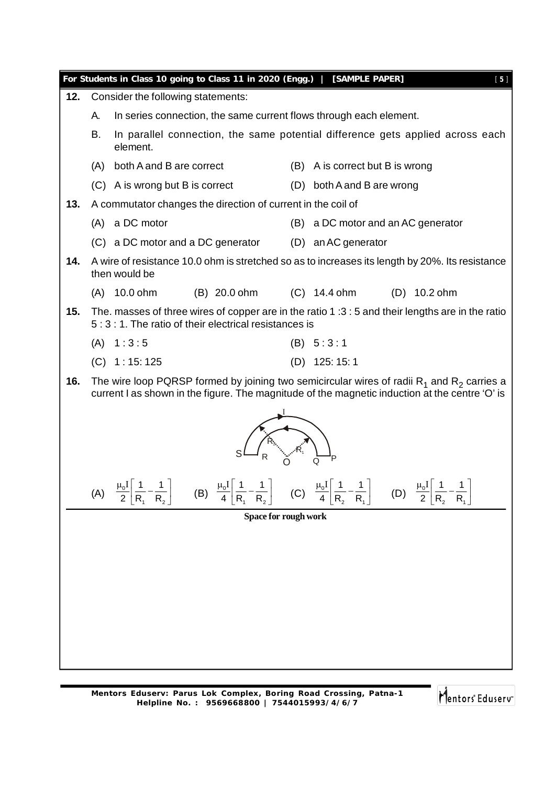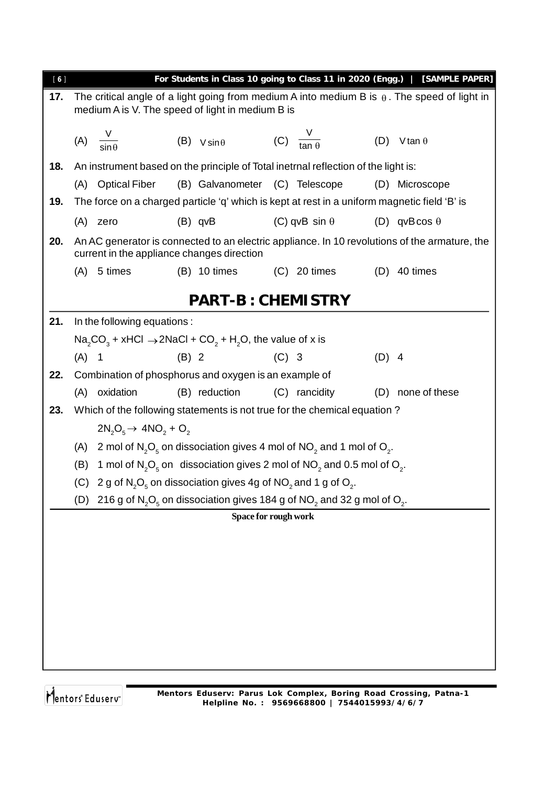| [6] |                                                                                                                                                         |                                   |                                                                                                                           |         |                      |         | For Students in Class 10 going to Class 11 in 2020 (Engg.)   [SAMPLE PAPER]                   |  |
|-----|---------------------------------------------------------------------------------------------------------------------------------------------------------|-----------------------------------|---------------------------------------------------------------------------------------------------------------------------|---------|----------------------|---------|-----------------------------------------------------------------------------------------------|--|
| 17. | The critical angle of a light going from medium A into medium B is $\theta$ . The speed of light in<br>medium A is V. The speed of light in medium B is |                                   |                                                                                                                           |         |                      |         |                                                                                               |  |
|     | (A) $\frac{V}{\sin \theta}$                                                                                                                             |                                   | (B) $V \sin \theta$ (C) $\frac{V}{\tan \theta}$                                                                           |         |                      | (D)     | V tan $\theta$                                                                                |  |
| 18. |                                                                                                                                                         |                                   | An instrument based on the principle of Total inetrnal reflection of the light is:                                        |         |                      |         |                                                                                               |  |
|     | (A)                                                                                                                                                     | <b>Optical Fiber</b>              | (B) Galvanometer (C) Telescope                                                                                            |         |                      | (D)     | Microscope                                                                                    |  |
| 19. |                                                                                                                                                         |                                   | The force on a charged particle 'q' which is kept at rest in a uniform magnetic field 'B' is                              |         |                      |         |                                                                                               |  |
|     | (A) zero                                                                                                                                                |                                   | $(B)$ qvB                                                                                                                 |         | (C) qvB sin $\theta$ |         | (D) qvBcos $\theta$                                                                           |  |
| 20. |                                                                                                                                                         |                                   | current in the appliance changes direction                                                                                |         |                      |         | An AC generator is connected to an electric appliance. In 10 revolutions of the armature, the |  |
|     | (A)                                                                                                                                                     | 5 times                           | $(B)$ 10 times                                                                                                            |         | $(C)$ 20 times       | (D)     | 40 times                                                                                      |  |
|     |                                                                                                                                                         |                                   | <b>PART-B: CHEMISTRY</b>                                                                                                  |         |                      |         |                                                                                               |  |
| 21. |                                                                                                                                                         | In the following equations:       |                                                                                                                           |         |                      |         |                                                                                               |  |
|     |                                                                                                                                                         |                                   | $\text{Na}_2\text{CO}_3$ + xHCl $\rightarrow$ 2NaCl + CO <sub>2</sub> + H <sub>2</sub> O, the value of x is               |         |                      |         |                                                                                               |  |
|     | $(A)$ 1                                                                                                                                                 |                                   | $(B)$ 2                                                                                                                   | $(C)$ 3 |                      | $(D)$ 4 |                                                                                               |  |
| 22. |                                                                                                                                                         |                                   | Combination of phosphorus and oxygen is an example of                                                                     |         |                      |         |                                                                                               |  |
|     |                                                                                                                                                         | (A) oxidation                     | (B) reduction                                                                                                             |         | (C) rancidity        |         | (D) none of these                                                                             |  |
| 23. |                                                                                                                                                         |                                   | Which of the following statements is not true for the chemical equation?                                                  |         |                      |         |                                                                                               |  |
|     |                                                                                                                                                         | $2N_2O_5 \rightarrow 4NO_2 + O_2$ |                                                                                                                           |         |                      |         |                                                                                               |  |
|     | (A)                                                                                                                                                     |                                   | 2 mol of $N_2O_5$ on dissociation gives 4 mol of $NO_2$ and 1 mol of $O_2$ .                                              |         |                      |         |                                                                                               |  |
|     | (B)                                                                                                                                                     |                                   | 1 mol of $N_2O_5$ on dissociation gives 2 mol of $NO_2$ and 0.5 mol of $O_2$ .                                            |         |                      |         |                                                                                               |  |
|     | (C)                                                                                                                                                     |                                   | 2 g of $N_2O_5$ on dissociation gives 4g of NO <sub>2</sub> and 1 g of O <sub>2</sub> .                                   |         |                      |         |                                                                                               |  |
|     | (D)                                                                                                                                                     |                                   | 216 g of $N_2O_5$ on dissociation gives 184 g of NO <sub>2</sub> and 32 g mol of O <sub>2</sub> .<br>Space for rough work |         |                      |         |                                                                                               |  |
|     |                                                                                                                                                         |                                   |                                                                                                                           |         |                      |         |                                                                                               |  |
|     |                                                                                                                                                         |                                   |                                                                                                                           |         |                      |         |                                                                                               |  |
|     |                                                                                                                                                         |                                   |                                                                                                                           |         |                      |         |                                                                                               |  |
|     |                                                                                                                                                         |                                   |                                                                                                                           |         |                      |         |                                                                                               |  |
|     |                                                                                                                                                         |                                   |                                                                                                                           |         |                      |         |                                                                                               |  |
|     |                                                                                                                                                         |                                   |                                                                                                                           |         |                      |         |                                                                                               |  |
|     |                                                                                                                                                         |                                   |                                                                                                                           |         |                      |         |                                                                                               |  |
|     |                                                                                                                                                         |                                   |                                                                                                                           |         |                      |         |                                                                                               |  |
|     |                                                                                                                                                         |                                   |                                                                                                                           |         |                      |         |                                                                                               |  |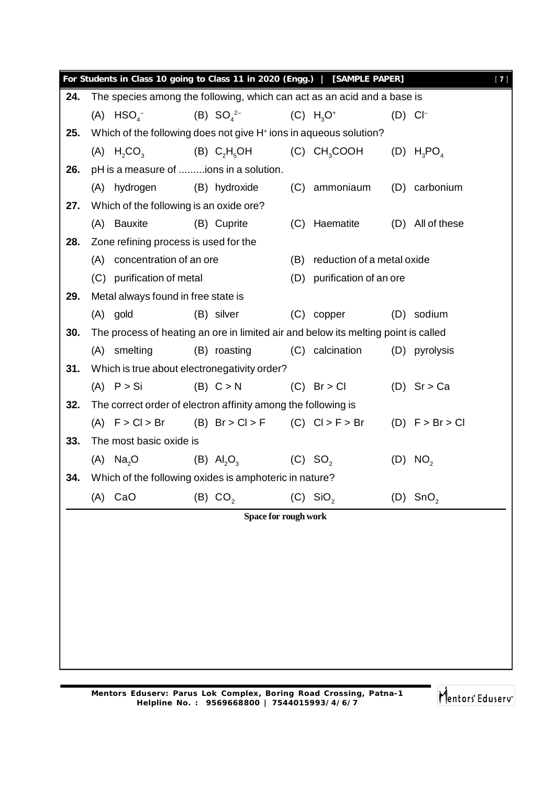|     |                                                 | For Students in Class 10 going to Class 11 in 2020 (Engg.)   [SAMPLE PAPER]        |                      |                            |                       | $[7]$ |
|-----|-------------------------------------------------|------------------------------------------------------------------------------------|----------------------|----------------------------|-----------------------|-------|
| 24. |                                                 | The species among the following, which can act as an acid and a base is            |                      |                            |                       |       |
|     | $(A)$ HSO <sub><math>4</math><sup>-</sup></sub> | (B) $SO_4^{2-}$                                                                    |                      | $(C) H3O+$                 | $(D)$ CI <sup>-</sup> |       |
| 25. |                                                 | Which of the following does not give H <sup>+</sup> ions in aqueous solution?      |                      |                            |                       |       |
|     | $(A)$ H <sub>2</sub> CO <sub>3</sub>            | (B) $C_2H_5OH$ (C) CH <sub>3</sub> COOH (D) H <sub>3</sub> PO <sub>4</sub>         |                      |                            |                       |       |
| 26. |                                                 | pH is a measure of ions in a solution.                                             |                      |                            |                       |       |
|     | (A) hydrogen                                    | (B) hydroxide                                                                      |                      | (C) ammoniaum              | (D) carbonium         |       |
| 27. |                                                 | Which of the following is an oxide ore?                                            |                      |                            |                       |       |
|     | (A) Bauxite                                     | (B) Cuprite                                                                        |                      | (C) Haematite              | (D) All of these      |       |
| 28. |                                                 | Zone refining process is used for the                                              |                      |                            |                       |       |
|     | (A) concentration of an ore                     |                                                                                    | (B)                  | reduction of a metal oxide |                       |       |
|     | (C) purification of metal                       |                                                                                    | (D)                  | purification of an ore     |                       |       |
| 29. |                                                 | Metal always found in free state is                                                |                      |                            |                       |       |
|     | $(A)$ gold                                      | (B) silver                                                                         |                      | $(C)$ copper               | (D) sodium            |       |
| 30. |                                                 | The process of heating an ore in limited air and below its melting point is called |                      |                            |                       |       |
|     | (A) smelting                                    | (B) roasting                                                                       |                      | (C) calcination            | (D) pyrolysis         |       |
| 31. |                                                 | Which is true about electronegativity order?                                       |                      |                            |                       |       |
|     | $(A)$ $P > Si$                                  | (B) C > N                                                                          |                      | $(C)$ Br > Cl              | $(D)$ Sr > Ca         |       |
| 32. |                                                 | The correct order of electron affinity among the following is                      |                      |                            |                       |       |
|     |                                                 | (A) $F > C l > Br$ (B) $Br > C l > F$ (C) $C l > F > Br$ (D) $F > Br > Cl$         |                      |                            |                       |       |
| 33. | The most basic oxide is                         |                                                                                    |                      |                            |                       |       |
|     | $(A)$ Na <sub>2</sub> O                         | (B) $AI_2O_3$ (C) SO <sub>2</sub>                                                  |                      |                            | (D) NO <sub>2</sub>   |       |
| 34. |                                                 | Which of the following oxides is amphoteric in nature?                             |                      |                            |                       |       |
|     | CaO<br>(A)                                      | (B) CO <sub>2</sub>                                                                |                      | $(C)$ SiO <sub>2</sub>     | (D) $SnO2$            |       |
|     |                                                 |                                                                                    | Space for rough work |                            |                       |       |
|     |                                                 |                                                                                    |                      |                            |                       |       |
|     |                                                 |                                                                                    |                      |                            |                       |       |
|     |                                                 |                                                                                    |                      |                            |                       |       |
|     |                                                 |                                                                                    |                      |                            |                       |       |
|     |                                                 |                                                                                    |                      |                            |                       |       |
|     |                                                 |                                                                                    |                      |                            |                       |       |
|     |                                                 |                                                                                    |                      |                            |                       |       |
|     |                                                 |                                                                                    |                      |                            |                       |       |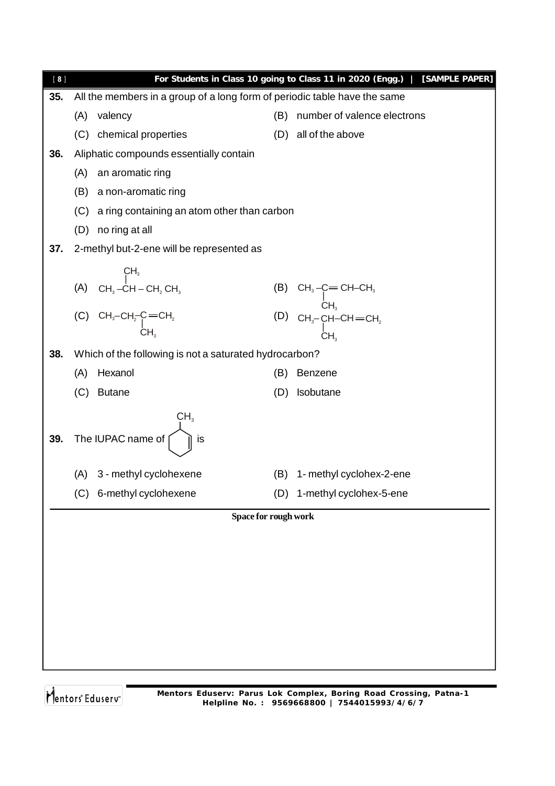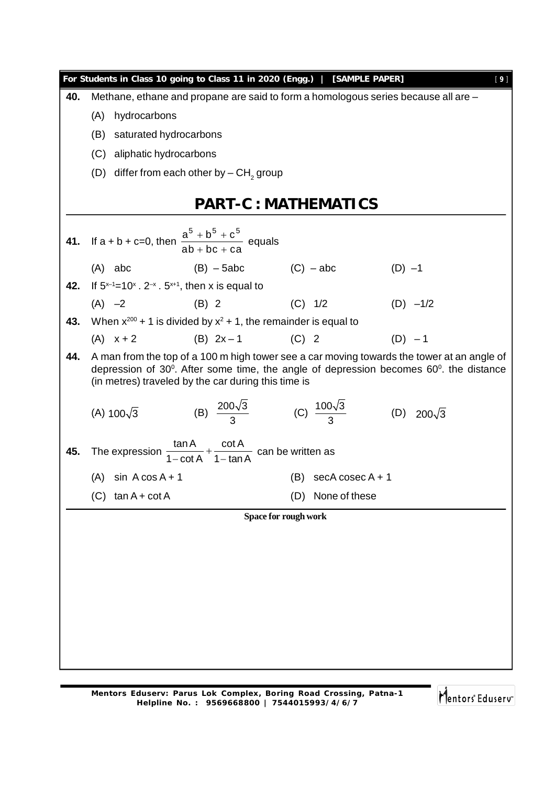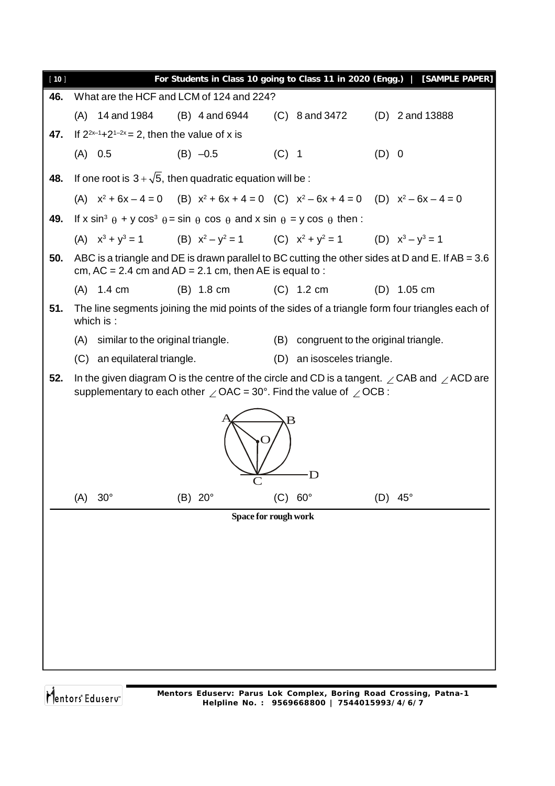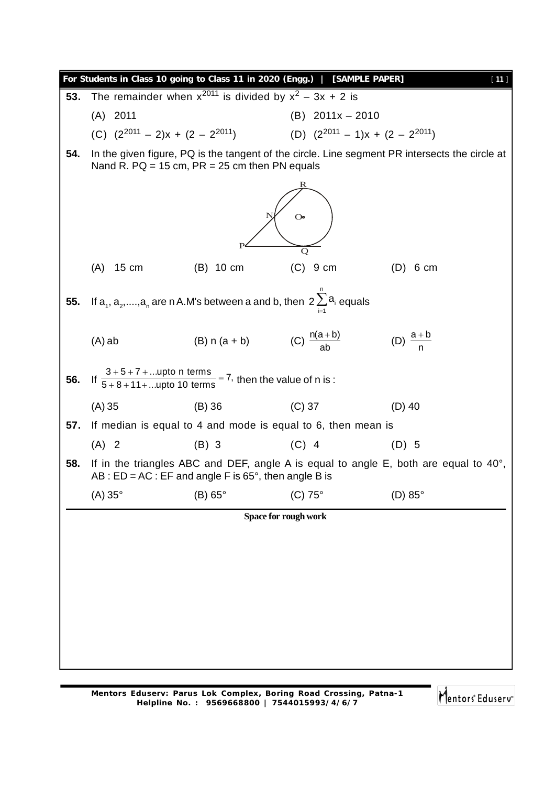|     |                        |                                                                           | For Students in Class 10 going to Class 11 in 2020 (Engg.)   [SAMPLE PAPER]   | $[11]$                                                                                         |  |  |  |  |  |
|-----|------------------------|---------------------------------------------------------------------------|-------------------------------------------------------------------------------|------------------------------------------------------------------------------------------------|--|--|--|--|--|
| 53. |                        | The remainder when $x^{2011}$ is divided by $x^2 - 3x + 2$ is             |                                                                               |                                                                                                |  |  |  |  |  |
|     | $(A)$ 2011             |                                                                           | $(B)$ 2011x - 2010                                                            |                                                                                                |  |  |  |  |  |
|     |                        |                                                                           | (C) $(2^{2011} - 2)x + (2 - 2^{2011})$ (D) $(2^{2011} - 1)x + (2 - 2^{2011})$ |                                                                                                |  |  |  |  |  |
| 54. |                        | Nand R. PQ = 15 cm, $PR = 25$ cm then PN equals                           |                                                                               | In the given figure, PQ is the tangent of the circle. Line segment PR intersects the circle at |  |  |  |  |  |
|     |                        |                                                                           |                                                                               |                                                                                                |  |  |  |  |  |
|     | $\mathbf{O}$           |                                                                           |                                                                               |                                                                                                |  |  |  |  |  |
|     | $15 \text{ cm}$<br>(A) | $(B)$ 10 cm                                                               | Q<br>$(C)$ 9 cm                                                               | $(D)$ 6 cm                                                                                     |  |  |  |  |  |
| 55. |                        | If $a_1, a_2, , a_n$ are n A.M's between a and b, then $2\sum a_i$ equals |                                                                               |                                                                                                |  |  |  |  |  |
|     | $(A)$ ab               | (B) n (a + b) (C) $\frac{n(a+b)}{ab}$                                     |                                                                               | (D) $\frac{a+b}{n}$                                                                            |  |  |  |  |  |
| 56. |                        | If $\frac{3+5+7+$ upto n terms = 7, then the value of n is :              |                                                                               |                                                                                                |  |  |  |  |  |
|     | (A) 35                 | $(B)$ 36                                                                  | $(C)$ 37                                                                      | $(D)$ 40                                                                                       |  |  |  |  |  |
| 57. |                        |                                                                           | If median is equal to 4 and mode is equal to 6, then mean is                  |                                                                                                |  |  |  |  |  |
|     | $(A)$ 2                | $(B)$ 3                                                                   | $(C)$ 4                                                                       | $(D)$ 5                                                                                        |  |  |  |  |  |
| 58. |                        | AB : $ED = AC$ : EF and angle F is 65 $^{\circ}$ , then angle B is        |                                                                               | If in the triangles ABC and DEF, angle A is equal to angle E, both are equal to $40^{\circ}$ , |  |  |  |  |  |
|     | $(A) 35^\circ$         | (B) 65°                                                                   | (C) 75°                                                                       | (D) 85°                                                                                        |  |  |  |  |  |
|     |                        |                                                                           | Space for rough work                                                          |                                                                                                |  |  |  |  |  |
|     |                        |                                                                           |                                                                               |                                                                                                |  |  |  |  |  |
|     |                        |                                                                           |                                                                               |                                                                                                |  |  |  |  |  |
|     |                        |                                                                           |                                                                               |                                                                                                |  |  |  |  |  |
|     |                        |                                                                           |                                                                               |                                                                                                |  |  |  |  |  |
|     |                        |                                                                           |                                                                               |                                                                                                |  |  |  |  |  |
|     |                        |                                                                           |                                                                               |                                                                                                |  |  |  |  |  |
|     |                        |                                                                           |                                                                               |                                                                                                |  |  |  |  |  |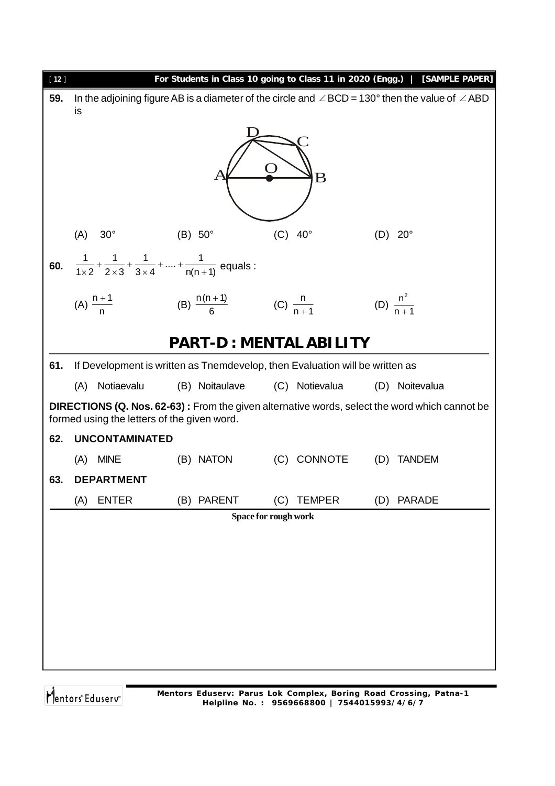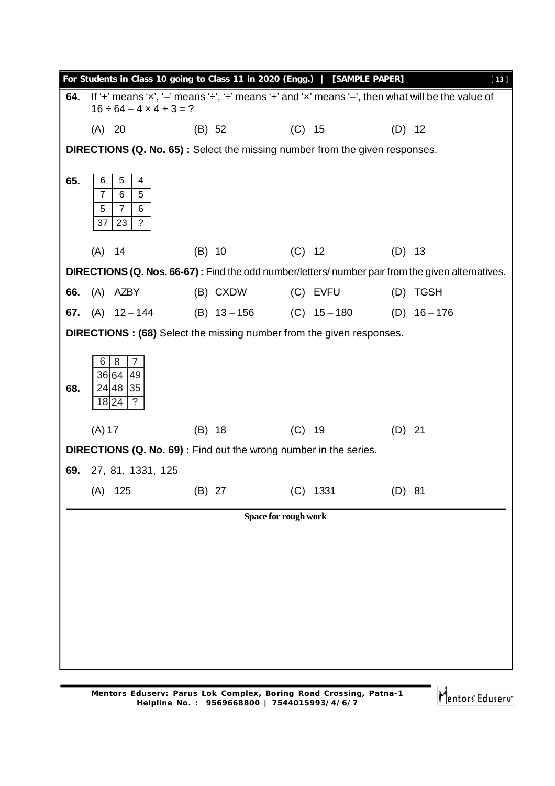| For Students in Class 10 going to Class 11 in 2020 (Engg.)   [SAMPLE PAPER]<br>$[13]$ |                                                                                    |                                   |                                                                                                                |  |                               |          |                                                                                                   |  |  |
|---------------------------------------------------------------------------------------|------------------------------------------------------------------------------------|-----------------------------------|----------------------------------------------------------------------------------------------------------------|--|-------------------------------|----------|---------------------------------------------------------------------------------------------------|--|--|
| 64.                                                                                   |                                                                                    | $16 \div 64 - 4 \times 4 + 3 = ?$ | If '+' means 'x', '-' means ' $\div$ ', ' $\div$ ' means '+' and 'x' means '-', then what will be the value of |  |                               |          |                                                                                                   |  |  |
|                                                                                       | (A) 20                                                                             |                                   | (B) 52                                                                                                         |  | $(C)$ 15                      | $(D)$ 12 |                                                                                                   |  |  |
|                                                                                       | <b>DIRECTIONS (Q. No. 65):</b> Select the missing number from the given responses. |                                   |                                                                                                                |  |                               |          |                                                                                                   |  |  |
|                                                                                       |                                                                                    |                                   |                                                                                                                |  |                               |          |                                                                                                   |  |  |
| 65.                                                                                   | 5<br>6<br>$\overline{7}$<br>6                                                      | 4<br>5                            |                                                                                                                |  |                               |          |                                                                                                   |  |  |
|                                                                                       | 5<br>$\overline{7}$                                                                | 6                                 |                                                                                                                |  |                               |          |                                                                                                   |  |  |
|                                                                                       | 37<br>23                                                                           | $\tilde{?}$                       |                                                                                                                |  |                               |          |                                                                                                   |  |  |
|                                                                                       | $(A)$ 14                                                                           |                                   | $(B)$ 10                                                                                                       |  | (C) 12                        | $(D)$ 13 |                                                                                                   |  |  |
|                                                                                       |                                                                                    |                                   |                                                                                                                |  |                               |          | DIRECTIONS (Q. Nos. 66-67): Find the odd number/letters/ number pair from the given alternatives. |  |  |
| 66.                                                                                   | (A) AZBY                                                                           |                                   | (B) CXDW                                                                                                       |  | (C) EVFU                      |          | (D) TGSH                                                                                          |  |  |
| 67.                                                                                   |                                                                                    | $(A)$ 12 – 144                    | $(B)$ 13 - 156                                                                                                 |  | $(C)$ 15 – 180 $(D)$ 16 – 176 |          |                                                                                                   |  |  |
|                                                                                       |                                                                                    |                                   | <b>DIRECTIONS: (68)</b> Select the missing number from the given responses.                                    |  |                               |          |                                                                                                   |  |  |
|                                                                                       |                                                                                    |                                   |                                                                                                                |  |                               |          |                                                                                                   |  |  |
|                                                                                       | 6<br>8<br>36 64                                                                    | 7<br>49                           |                                                                                                                |  |                               |          |                                                                                                   |  |  |
| 68.                                                                                   | 24 48                                                                              | 35                                |                                                                                                                |  |                               |          |                                                                                                   |  |  |
|                                                                                       | 18 24                                                                              | ?                                 |                                                                                                                |  |                               |          |                                                                                                   |  |  |
|                                                                                       | $(A)$ 17                                                                           |                                   | $(B)$ 18                                                                                                       |  | $(C)$ 19                      | $(D)$ 21 |                                                                                                   |  |  |
|                                                                                       |                                                                                    |                                   | DIRECTIONS (Q. No. 69): Find out the wrong number in the series.                                               |  |                               |          |                                                                                                   |  |  |
| 69.                                                                                   |                                                                                    | 27, 81, 1331, 125                 |                                                                                                                |  |                               |          |                                                                                                   |  |  |
|                                                                                       |                                                                                    | (A) 125 (B) 27                    |                                                                                                                |  | (C) 1331                      | (D) 81   |                                                                                                   |  |  |
|                                                                                       |                                                                                    |                                   | Space for rough work                                                                                           |  |                               |          |                                                                                                   |  |  |
|                                                                                       |                                                                                    |                                   |                                                                                                                |  |                               |          |                                                                                                   |  |  |
|                                                                                       |                                                                                    |                                   |                                                                                                                |  |                               |          |                                                                                                   |  |  |
|                                                                                       |                                                                                    |                                   |                                                                                                                |  |                               |          |                                                                                                   |  |  |
|                                                                                       |                                                                                    |                                   |                                                                                                                |  |                               |          |                                                                                                   |  |  |
|                                                                                       |                                                                                    |                                   |                                                                                                                |  |                               |          |                                                                                                   |  |  |
|                                                                                       |                                                                                    |                                   |                                                                                                                |  |                               |          |                                                                                                   |  |  |
|                                                                                       |                                                                                    |                                   |                                                                                                                |  |                               |          |                                                                                                   |  |  |
|                                                                                       |                                                                                    |                                   |                                                                                                                |  |                               |          |                                                                                                   |  |  |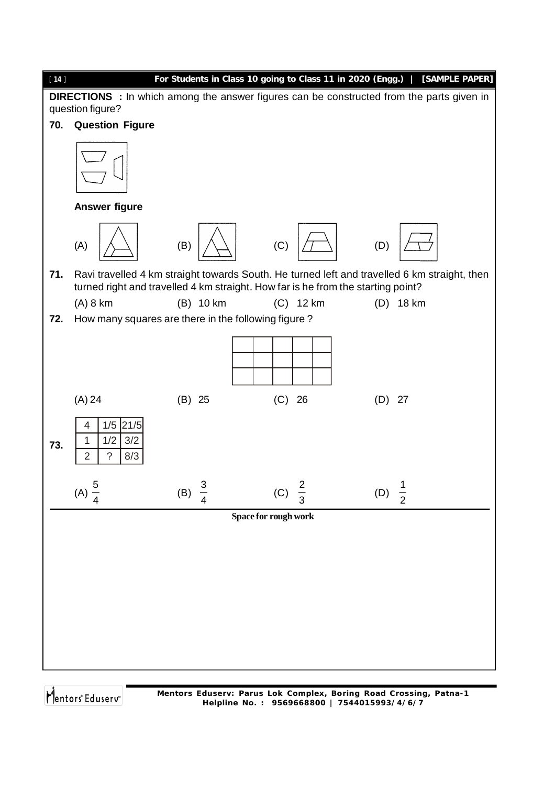

**Mentors Eduserv: Parus Lok Complex, Boring Road Crossing, Patna-1 Helpline No. : 9569668800 | 7544015993/4/6/7**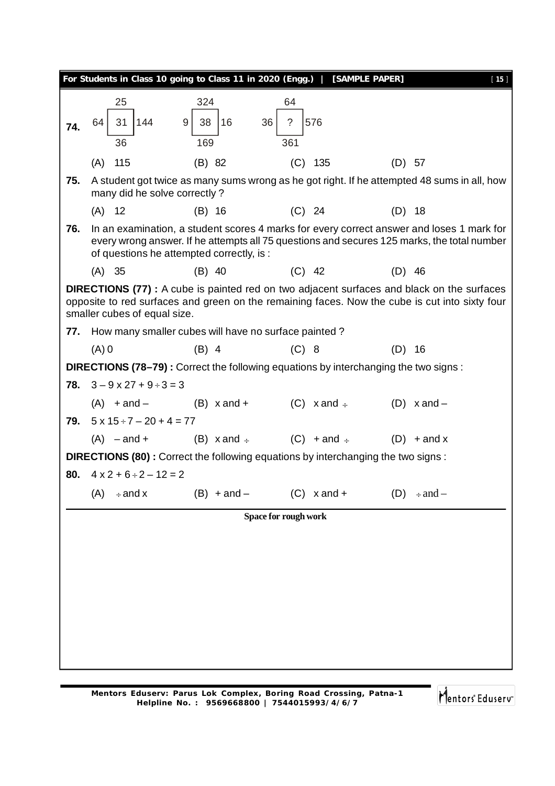|     |                                        | For Students in Class 10 going to Class 11 in 2020 (Engg.)   [SAMPLE PAPER]         |                      |                                                                                                                                                                                                     | $[15]$ |
|-----|----------------------------------------|-------------------------------------------------------------------------------------|----------------------|-----------------------------------------------------------------------------------------------------------------------------------------------------------------------------------------------------|--------|
|     | 25                                     | 324                                                                                 | 64                   |                                                                                                                                                                                                     |        |
| 74. | 64<br>31<br>144                        | 36<br>9<br>38<br>16                                                                 | 576<br>?             |                                                                                                                                                                                                     |        |
|     | 36                                     | 169                                                                                 | 361                  |                                                                                                                                                                                                     |        |
|     | 115<br>(A)                             | (B) 82                                                                              | $(C)$ 135            | $(D)$ 57                                                                                                                                                                                            |        |
| 75. | many did he solve correctly?           |                                                                                     |                      | A student got twice as many sums wrong as he got right. If he attempted 48 sums in all, how                                                                                                         |        |
|     | $(A)$ 12                               | $(B)$ 16                                                                            | $(C)$ 24             | $(D)$ 18                                                                                                                                                                                            |        |
| 76. |                                        | of questions he attempted correctly, is :                                           |                      | In an examination, a student scores 4 marks for every correct answer and loses 1 mark for<br>every wrong answer. If he attempts all 75 questions and secures 125 marks, the total number            |        |
|     | (A) 35                                 | $(B)$ 40                                                                            | $(C)$ 42             | $(D)$ 46                                                                                                                                                                                            |        |
|     | smaller cubes of equal size.           |                                                                                     |                      | <b>DIRECTIONS (77)</b> : A cube is painted red on two adjacent surfaces and black on the surfaces<br>opposite to red surfaces and green on the remaining faces. Now the cube is cut into sixty four |        |
| 77. |                                        | How many smaller cubes will have no surface painted?                                |                      |                                                                                                                                                                                                     |        |
|     | $(A)$ 0                                | $(B)$ 4                                                                             | $(C)$ 8              | $(D)$ 16                                                                                                                                                                                            |        |
|     |                                        | DIRECTIONS (78–79): Correct the following equations by interchanging the two signs: |                      |                                                                                                                                                                                                     |        |
|     | 78. $3 - 9 \times 27 + 9 \div 3 = 3$   |                                                                                     |                      |                                                                                                                                                                                                     |        |
|     |                                        | $(A) + and  (B) x and +$ $(C) x and +$ $(D) x and -$                                |                      |                                                                                                                                                                                                     |        |
|     | 79. $5 \times 15 \div 7 - 20 + 4 = 77$ |                                                                                     |                      |                                                                                                                                                                                                     |        |
|     |                                        | $(A)$ -and + $(B)$ x and $\div$ $(C)$ + and $\div$                                  |                      | $(D)$ + and x                                                                                                                                                                                       |        |
|     |                                        | DIRECTIONS (80): Correct the following equations by interchanging the two signs:    |                      |                                                                                                                                                                                                     |        |
| 80. | $4 \times 2 + 6 \div 2 - 12 = 2$       |                                                                                     |                      |                                                                                                                                                                                                     |        |
|     | (A)<br>$\div$ and x                    | $(B) + and -$                                                                       | $(C)$ x and +        | $\div$ and $-$<br>(D)                                                                                                                                                                               |        |
|     |                                        |                                                                                     | Space for rough work |                                                                                                                                                                                                     |        |
|     |                                        |                                                                                     |                      |                                                                                                                                                                                                     |        |
|     |                                        |                                                                                     |                      |                                                                                                                                                                                                     |        |
|     |                                        |                                                                                     |                      |                                                                                                                                                                                                     |        |
|     |                                        |                                                                                     |                      |                                                                                                                                                                                                     |        |
|     |                                        |                                                                                     |                      |                                                                                                                                                                                                     |        |
|     |                                        |                                                                                     |                      |                                                                                                                                                                                                     |        |
|     |                                        |                                                                                     |                      |                                                                                                                                                                                                     |        |
|     |                                        |                                                                                     |                      |                                                                                                                                                                                                     |        |